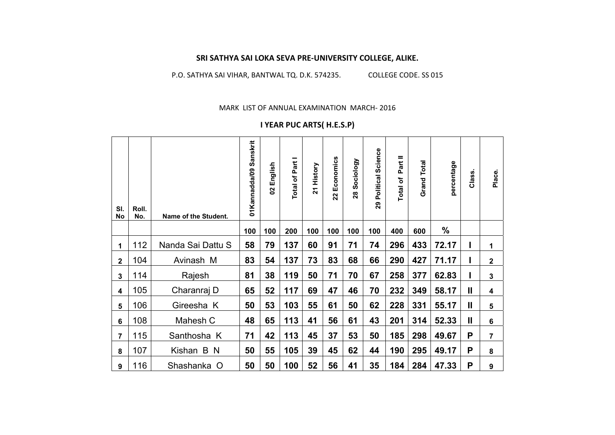## **SRI SATHYA SAI LOKA SEVA PRE‐UNIVERSITY COLLEGE, ALIKE.**

P.O. SATHYA SAI VIHAR, BANTWAL TQ. D.K. 574235. COLLEGE CODE. SS 015

MARK LIST OF ANNUAL EXAMINATION MARCH‐ 2016

## **I YEAR PUC ARTS( H.E.S.P)**

| SI.<br><b>No</b> | Roll.<br>No. | Name of the Student. | Sanskrit<br>01Kannadda/09 | English<br>8 | Part<br>Total of | History<br>$\overline{2}$ | Economics<br>22 | Sociology<br>28 | Science<br>Political<br>29 | $\, =$<br>ārt<br>Ñ.<br>$\mathbf{\tilde{o}}$<br><b>Total</b> | <b>Total</b><br>Grand | percentage    | Class.       | Place.         |
|------------------|--------------|----------------------|---------------------------|--------------|------------------|---------------------------|-----------------|-----------------|----------------------------|-------------------------------------------------------------|-----------------------|---------------|--------------|----------------|
|                  |              |                      | 100                       | 100          | 200              | 100                       | 100             | 100             | 100                        | 400                                                         | 600                   | $\frac{0}{0}$ |              |                |
| 1                | 112          | Nanda Sai Dattu S    | 58                        | 79           | 137              | 60                        | 91              | 71              | 74                         | 296                                                         | 433                   | 72.17         |              | 1              |
| $\mathbf 2$      | 104          | Avinash M            | 83                        | 54           | 137              | 73                        | 83              | 68              | 66                         | 290                                                         | 427                   | 71.17         |              | $\mathbf 2$    |
| $\mathbf{3}$     | 114          | Rajesh               | 81                        | 38           | 119              | 50                        | 71              | 70              | 67                         | 258                                                         | 377                   | 62.83         | I            | $\mathbf{3}$   |
| 4                | 105          | Charanraj D          | 65                        | 52           | 117              | 69                        | 47              | 46              | 70                         | 232                                                         | 349                   | 58.17         | $\mathbf{I}$ | 4              |
| 5                | 106          | Gireesha K           | 50                        | 53           | 103              | 55                        | 61              | 50              | 62                         | 228                                                         | 331                   | 55.17         | $\mathbf{I}$ | 5              |
| $6\phantom{a}$   | 108          | Mahesh C             | 48                        | 65           | 113              | 41                        | 56              | 61              | 43                         | 201                                                         | 314                   | 52.33         | $\mathbf{I}$ | $6\phantom{1}$ |
| $\overline{7}$   | 115          | Santhosha K          | 71                        | 42           | 113              | 45                        | 37              | 53              | 50                         | 185                                                         | 298                   | 49.67         | P            | $\overline{7}$ |
| 8                | 107          | Kishan B N           | 50                        | 55           | 105              | 39                        | 45              | 62              | 44                         | 190                                                         | 295                   | 49.17         | P            | 8              |
| 9                | 116          | Shashanka O          | 50                        | 50           | 100              | 52                        | 56              | 41              | 35                         | 184                                                         | 284                   | 47.33         | P            | 9              |